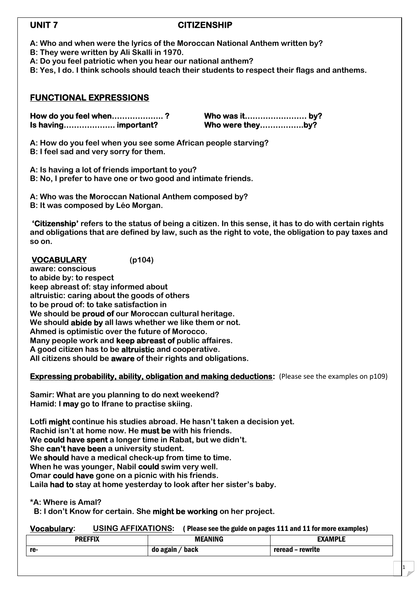# **UNIT 7 CITIZENSHIP**

- **A: Who and when were the lyrics of the Moroccan National Anthem wri[tten by?](http://www.9alami.com/)**
- **B: They were written by Ali Skalli in 1970.**
- **A: Do you feel patriotic when you hear our national anthem?**
- **B: Yes, I do. I think schools should teach their students to respect their flags and anthems.**

# **FUNCTIONAL EXPRESSIONS**

**How do you feel when……………….. ? Who was it…………………… by? Is having……………….. important? Who were they……………..by?**

**A: How do you feel when you see some African people starving? B: I feel sad and very sorry for them.**

**A: Is having a lot of friends important to you? B: No, I prefer to have one or two good and intimate friends.**

**A: Who was the Moroccan National Anthem composed by?**

**B: It was composed by Léo Morgan.**

**'Citizenship' refers to the status of being a citizen. In this sense, it has to do with certain rights and obligations that are defined by law, such as the right to vote, the obligation to pay taxes and so on.**

### **VOCABULARY (p104) aware: conscious**

**to abide by: to respect**

**keep abreast of: stay informed about altruistic: caring about the goods of others to be proud of: to take satisfaction in We should be proud of our Moroccan cultural heritage. We should abide by all laws whether we like them or not. Ahmed is optimistic over the future of Morocco. Many people work and keep abreast of public affaires. A good citizen has to be altruistic and cooperative. All citizens should be aware of their rights and obligations.**

### **Expressing probability, ability, obligation and making deductions:** (Please see the examples on p109)

**Samir: What are you planning to do next weekend? Hamid: I may go to Ifrane to practise skiing.**

**Lotfi might continue his studies abroad. He hasn't taken a decision yet. Rachid isn't at home now. He must be with his friends. We could have spent a longer time in Rabat, but we didn't. She can't have been a university student. We should have a medical check-up from time to time. When he was younger, Nabil could swim very well. Omar could have gone on a picnic with his friends. Laila had to stay at home yesterday to look after her sister's baby.**

**\*A: Where is Amal?**

**B: I don't Know for certain. She might be working on her project.**

### **Vocabulary: USING AFFIXATIONS**: ( Please see the guide on pages 111 and 11 for more examples)

| <b>DDEEEIV</b> | <b>MEANING</b> | .<br>ΆМΡ                    |
|----------------|----------------|-----------------------------|
| re-            | back<br>ao     | <b>MASSIME</b><br><br>write |

1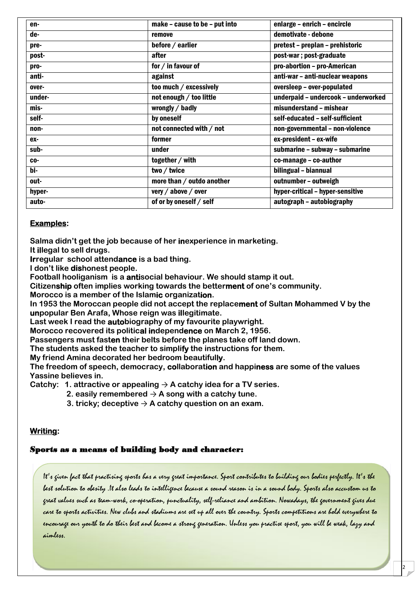| en-    | make - cause to be - put into | enlarge - enrich - encircle         |  |
|--------|-------------------------------|-------------------------------------|--|
| de-    | remove                        | demotivate - debone                 |  |
| pre-   | before / earlier              | pretest - preplan - prehistoric     |  |
| post-  | after                         | post-war; post-graduate             |  |
| pro-   | for / in favour of            | pro-abortion - pro-American         |  |
| anti-  | against                       | anti-war - anti-nuclear weapons     |  |
| over-  | too much / excessively        | oversleep - over-populated          |  |
| under- | not enough / too little       | underpaid - undercook - underworked |  |
| mis-   | wrongly / badly               | misunderstand - mishear             |  |
| self-  | by oneself                    | self-educated - self-sufficient     |  |
| non-   | not connected with / not      | non-governmental - non-violence     |  |
| ex-    | former                        | ex-president - ex-wife              |  |
| sub-   | under                         | submarine - subway - submarine      |  |
| CO-    | together / with               | co-manage - co-author               |  |
| bi-    | two / twice                   | bilingual - biannual                |  |
| out-   | more than / outdo another     | outnumber - outweigh                |  |
| hyper- | very / above / over           | hyper-critical - hyper-sensitive    |  |
| auto-  | of or by oneself / self       | autograph - autobiography           |  |

### **Examples:**

**Salma didn't get the job because of her inexperience in marketing.**

**It illegal to sell drugs.**

**Irregular school attendance is a bad thing.**

**I don't like dishonest people.**

**Football hooliganism is a antisocial behaviour. We should stamp it out.**

**Citizenship often implies working towards the betterment of one's community.**

**Morocco is a member of the Islamic organization.**

**In 1953 the Moroccan people did not accept the replacement of Sultan Mohammed V by the unpopular Ben Arafa, Whose reign was illegitimate.**

**Last week I read the autobiography of my favourite playwright.**

**Morocco recovered its political independence on March 2, 1956.**

**Passengers must fasten their belts before the planes take off land down.**

**The students asked the teacher to simplify the instructions for them.**

**My friend Amina decorated her bedroom beautifully.**

**The freedom of speech, democracy, collaboration and happiness are some of the values Yassine believes in.**

**Catchy: 1. attractive or appealing** → **A catchy idea for a TV series.**

- 2. easily remembered  $\rightarrow$  A song with a catchy tune.
- **3. tricky; deceptive**  $\rightarrow$  **A catchy question on an exam.**

### **Writing:**

### **Sports as a means of building body and character:**

It's given fact that practising sports has a very great importance. Sport contributes to building our bodies perfectly. It's the best solution to obesity .It also leads to intelligence because a sound reason is in a sound body. Sports also accustom us to great values such as team-work, co-operation, punctuality, self-reliance and ambition. Nowadays, the government gives due care to sports activities. New clubs and stadiums are set up all over the country. Sports competitions are hold everywhere to encourage our youth to do their best and become a strong generation. Unless you practise sport, you will be weak, lazy and aimless.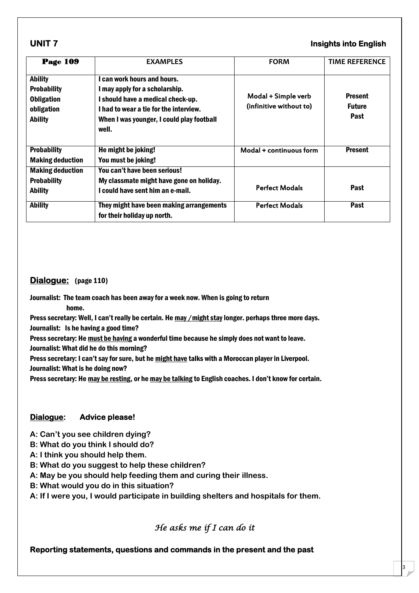## **UNIT 7 Insights into English**

3

| <b>Page 109</b>                                                                           | <b>EXAMPLES</b>                                                                                                                                                                                  | <b>FORM</b>                                    | <b>TIME REFERENCE</b>                          |
|-------------------------------------------------------------------------------------------|--------------------------------------------------------------------------------------------------------------------------------------------------------------------------------------------------|------------------------------------------------|------------------------------------------------|
| <b>Ability</b><br><b>Probability</b><br><b>Obligation</b><br>obligation<br><b>Ability</b> | can work hours and hours.<br>I may apply for a scholarship.<br>I should have a medical check-up.<br>I had to wear a tie for the interview.<br>When I was younger, I could play football<br>well. | Modal + Simple verb<br>(infinitive without to) | <b>Present</b><br><b>Future</b><br><b>Past</b> |
| <b>Probability</b><br><b>Making deduction</b>                                             | He might be joking!<br>You must be joking!                                                                                                                                                       | Modal + continuous form                        | <b>Present</b>                                 |
| <b>Making deduction</b><br><b>Probability</b><br><b>Ability</b>                           | You can't have been serious!<br>My classmate might have gone on holiday.<br>I could have sent him an e-mail.                                                                                     | <b>Perfect Modals</b>                          | Past                                           |
| <b>Ability</b>                                                                            | They might have been making arrangements<br>for their holiday up north.                                                                                                                          | <b>Perfect Modals</b>                          | Past                                           |

### **Dialogue:** (page 110)

Journalist: The team coach has been away for a week now. When is going to return

home.

Press secretary: Well, I can't really be certain. He may / might stay longer. perhaps three more days.

Journalist: Is he having a good time?

Press secretary: He must be having a wonderful time because he simply does not want to leave.

Journalist: What did he do this morning?

Press secretary: I can't say for sure, but he might have talks with a Moroccan player in Liverpool.

Journalist: What is he doing now?

Press secretary: He may be resting, or he may be talking to English coaches. I don't know for certain.

### **Dialogue: Advice please!**

- **A: Can't you see children dying?**
- **B: What do you think I should do?**
- **A: I think you should help them.**
- **B: What do you suggest to help these children?**
- **A: May be you should help feeding them and curing their illness.**
- **B: What would you do in this situation?**
- **A: If I were you, I would participate in building shelters and hospitals for them.**

# **He asks me if I can do it**

### **Reporting statements, questions and commands in the present and the past**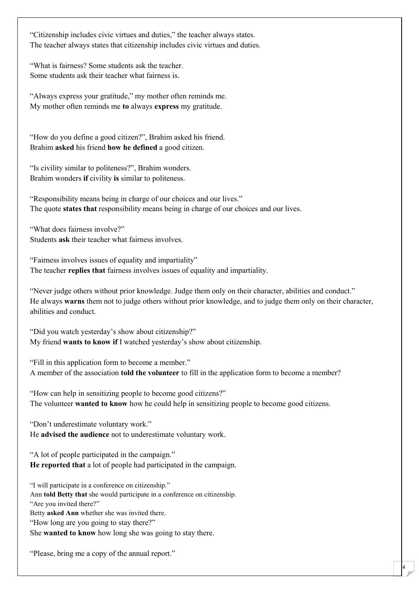"Citizenship includes civic virtues and duties," the teacher always states. The teacher always states that citizenship includes civic virtues and duties.

"What is fairness? Some students ask the teacher. Some students ask their teacher what fairness is.

"Always express your gratitude," my mother often reminds me. My mother often reminds me **to** always **express** my gratitude.

"How do you define a good citizen?", Brahim asked his friend. Brahim **asked** his friend **how he defined** a good citizen.

"Is civility similar to politeness?", Brahim wonders. Brahim wonders **if** civility **is** similar to politeness.

"Responsibility means being in charge of our choices and our lives." The quote **states that** responsibility means being in charge of our choices and our lives.

"What does fairness involve?" Students **ask** their teacher what fairness involves.

"Fairness involves issues of equality and impartiality" The teacher **replies that** fairness involves issues of equality and impartiality.

"Never judge others without prior knowledge. Judge them only on their character, abilities and conduct." He always **warns** them not to judge others without prior knowledge, and to judge them only on their character, abilities and conduct.

4

"Did you watch yesterday's show about citizenship?" My friend **wants to know if** I watched yesterday's show about citizenship.

"Fill in this application form to become a member." A member of the association **told the volunteer** to fill in the application form to become a member?

"How can help in sensitizing people to become good citizens?" The volunteer **wanted to know** how he could help in sensitizing people to become good citizens.

"Don't underestimate voluntary work." He **advised the audience** not to underestimate voluntary work.

"A lot of people participated in the campaign." **He reported that** a lot of people had participated in the campaign.

"I will participate in a conference on citizenship." Ann **told Betty that** she would participate in a conference on citizenship. "Are you invited there?" Betty **asked Ann** whether she was invited there. "How long are you going to stay there?" She **wanted to know** how long she was going to stay there.

"Please, bring me a copy of the annual report."